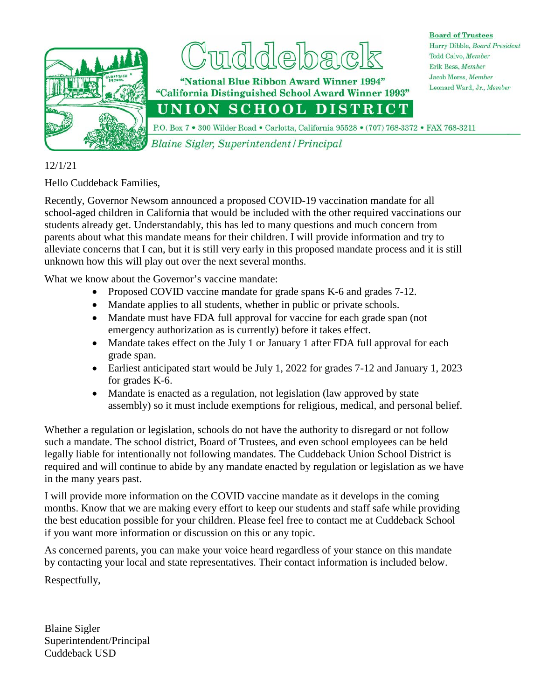

## debe

"National Blue Ribbon Award Winner 1994" "California Distinguished School Award Winner 1993"

**Board of Trustees** Harry Dibble, Board President Todd Calvo, Member Erik Bess, Member Jacob Morss, Member Leonard Ward, Jr., Member

UNION SCHOOL DISTRICT

P.O. Box 7 . 300 Wilder Road . Carlotta, California 95528 . (707) 768-3372 . FAX 768-3211

Blaine Sigler, Superintendent / Principal

## 12/1/21

Hello Cuddeback Families,

Recently, Governor Newsom announced a proposed COVID-19 vaccination mandate for all school-aged children in California that would be included with the other required vaccinations our students already get. Understandably, this has led to many questions and much concern from parents about what this mandate means for their children. I will provide information and try to alleviate concerns that I can, but it is still very early in this proposed mandate process and it is still unknown how this will play out over the next several months.

What we know about the Governor's vaccine mandate:

- Proposed COVID vaccine mandate for grade spans K-6 and grades 7-12.
- Mandate applies to all students, whether in public or private schools.
- Mandate must have FDA full approval for vaccine for each grade span (not emergency authorization as is currently) before it takes effect.
- Mandate takes effect on the July 1 or January 1 after FDA full approval for each grade span.
- Earliest anticipated start would be July 1, 2022 for grades 7-12 and January 1, 2023 for grades K-6.
- Mandate is enacted as a regulation, not legislation (law approved by state assembly) so it must include exemptions for religious, medical, and personal belief.

Whether a regulation or legislation, schools do not have the authority to disregard or not follow such a mandate. The school district, Board of Trustees, and even school employees can be held legally liable for intentionally not following mandates. The Cuddeback Union School District is required and will continue to abide by any mandate enacted by regulation or legislation as we have in the many years past.

I will provide more information on the COVID vaccine mandate as it develops in the coming months. Know that we are making every effort to keep our students and staff safe while providing the best education possible for your children. Please feel free to contact me at Cuddeback School if you want more information or discussion on this or any topic.

As concerned parents, you can make your voice heard regardless of your stance on this mandate by contacting your local and state representatives. Their contact information is included below.

Respectfully,

Blaine Sigler Superintendent/Principal Cuddeback USD